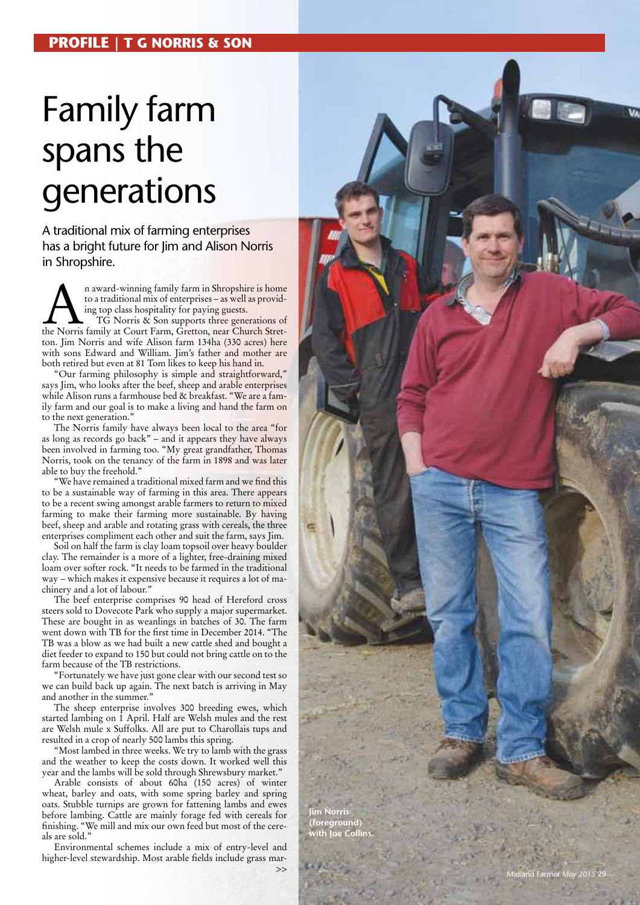## Family farm spans the generations

## A traditional mix of farming enterprises has a bright future for Jim and Alison Norris in Shropshire.

**A**n award-winning family farm in Shropshire is home to a traditional mix of enterprises – as well as providing top class hospitality for paying guests. TG Norris & Son supports three generations of the Norris family at Co to a traditional mix of enterprises – as well as provid ing top class hospitality for paying guests. TG Norris & Son supports three generations of ton. Jim Norris and wife Alison farm 134ha (330 acres) here with sons Edward and William. Jim's father and mother are both retired but even at 81 Tom likes to keep his hand in.

"Our farming philosophy is simple and straightforward," says Jim, who looks after the beef, sheep and arable enterprises while Alison runs a farmhouse bed & breakfast. "We are a fam ily farm and our goal is to make a living and hand the farm on to the next generation."

The Norris family have always been local to the area "for as long as records go back" – and it appears they have always been involved in farming too. "My great grandfather, Thomas Norris, took on the tenancy of the farm in 1898 and was later able to buy the freehold."

"We have remained a traditional mixed farm and we find this to be a sustainable way of farming in this area. There appears to be a recent swing amongst arable farmers to return to mixed farming to make their farming more sustainable. By having beef, sheep and arable and rotating grass with cereals, the three enterprises compliment each other and suit the farm, says Jim.

Soil on half the farm is clay loam topsoil over heavy boulder clay. The remainder is a more of a lighter, free-draining mixed loam over softer rock. "It needs to be farmed in the traditional way – which makes it expensive because it requires a lot of ma chinery and a lot of labour."

The beef enterprise comprises 90 head of Hereford cross steers sold to Dovecote Park who supply a major supermarket. These are bought in as weanlings in batches of 30. The farm went down with TB for the first time in December 2014. "The TB was a blow as we had built a new cattle shed and bought a diet feeder to expand to 150 but could not bring cattle on to the farm because of the TB restrictions.

"Fortunately we have just gone clear with our second test so we can build back up again. The next batch is arriving in May and another in the summer."

The sheep enterprise involves 300 breeding ewes, which started lambing on 1 April. Half are Welsh mules and the rest are Welsh mule x Suffolks. All are put to Charollais tups and resulted in a crop of nearly 500 lambs this spring.

"Most lambed in three weeks. We try to lamb with the grass and the weather to keep the costs down. It worked well this year and the lambs will be sold through Shrewsbury market."

Arable consists of about 60ha (150 acres) of winter wheat, barley and oats, with some spring barley and spring oats. Stubble turnips are grown for fattening lambs and ewes before lambing. Cattle are mainly forage fed with cereals for finishing. "We mill and mix our own feed but most of the cere als are sold."

Environmental schemes include a mix of entry-level and higher-level stewardship. Most arable fields include grass mar->>



**Jim Norris (foreground) with Joe Collins.**